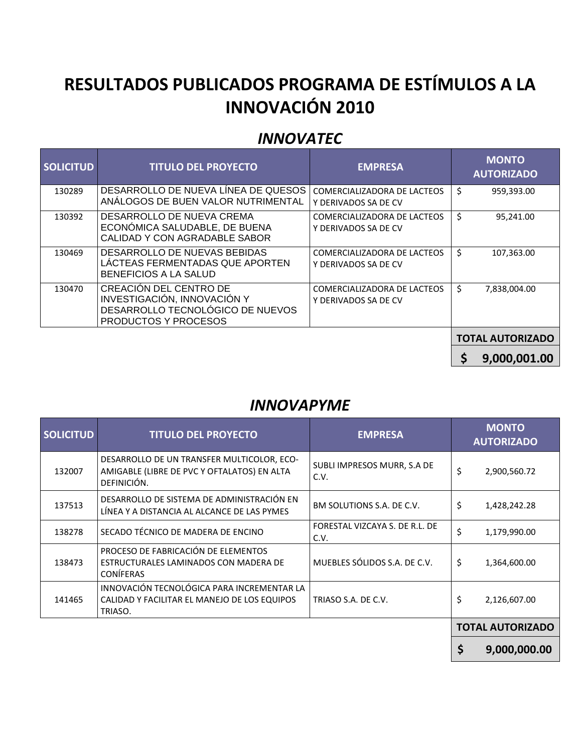# **RESULTADOS PUBLICADOS PROGRAMA DE ESTÍMULOS A LA INNOVACIÓN 2010**

#### *INNOVATEC*

| <b>SOLICITUD</b> | <b>TITULO DEL PROYECTO</b>                                                                                               | <b>EMPRESA</b>                                      | <b>MONTO</b><br><b>AUTORIZADO</b> |  |
|------------------|--------------------------------------------------------------------------------------------------------------------------|-----------------------------------------------------|-----------------------------------|--|
| 130289           | DESARROLLO DE NUEVA LÍNEA DE QUESOS<br>ANALOGOS DE BUEN VALOR NUTRIMENTAL                                                | COMERCIALIZADORA DE LACTEOS<br>Y DERIVADOS SA DE CV | \$<br>959,393.00                  |  |
| 130392           | DESARROLLO DE NUEVA CREMA<br>ECONÓMICA SALUDABLE, DE BUENA<br>CALIDAD Y CON AGRADABLE SABOR                              | COMERCIALIZADORA DE LACTEOS<br>Y DERIVADOS SA DE CV | \$<br>95,241.00                   |  |
| 130469           | DESARROLLO DE NUEVAS BEBIDAS<br>LÁCTEAS FERMENTADAS QUE APORTEN<br>BENEFICIOS A LA SALUD                                 | COMERCIALIZADORA DE LACTEOS<br>Y DERIVADOS SA DE CV | \$<br>107,363.00                  |  |
| 130470           | <b>CREACION DEL CENTRO DE</b><br>INVESTIGACIÓN, INNOVACIÓN Y<br>DESARROLLO TECNOLÓGICO DE NUEVOS<br>PRODUCTOS Y PROCESOS | COMERCIALIZADORA DE LACTEOS<br>Y DERIVADOS SA DE CV | \$<br>7,838,004.00                |  |
|                  |                                                                                                                          |                                                     | <b>TOTAL AUTORIZADO</b>           |  |

**\$ 9,000,001.00** 

#### *INNOVAPYME*

| <b>SOLICITUD</b> | <b>TITULO DEL PROYECTO</b>                                                                               | <b>EMPRESA</b>                         |    | <b>MONTO</b><br><b>AUTORIZADO</b> |  |
|------------------|----------------------------------------------------------------------------------------------------------|----------------------------------------|----|-----------------------------------|--|
| 132007           | DESARROLLO DE UN TRANSFER MULTICOLOR, ECO-<br>AMIGABLE (LIBRE DE PVC Y OFTALATOS) EN ALTA<br>DEFINICIÓN. | SUBLI IMPRESOS MURR, S.A DE<br>C.V.    |    | 2,900,560.72                      |  |
| 137513           | DESARROLLO DE SISTEMA DE ADMINISTRACIÓN EN<br>LÍNEA Y A DISTANCIA AL ALCANCE DE LAS PYMES                | BM SOLUTIONS S.A. DE C.V.              |    | 1,428,242.28                      |  |
| 138278           | SECADO TÉCNICO DE MADERA DE ENCINO                                                                       | FORESTAL VIZCAYA S. DE R.L. DE<br>C.V. |    | 1,179,990.00                      |  |
| 138473           | PROCESO DE FABRICACIÓN DE ELEMENTOS<br>ESTRUCTURALES LAMINADOS CON MADERA DE<br><b>CONÍFERAS</b>         | MUEBLES SÓLIDOS S.A. DE C.V.           |    | 1,364,600.00                      |  |
| 141465           | INNOVACIÓN TECNOLÓGICA PARA INCREMENTAR LA<br>CALIDAD Y FACILITAR EL MANEJO DE LOS EQUIPOS<br>TRIASO.    | TRIASO S.A. DE C.V.                    | \$ | 2,126,607.00                      |  |
|                  |                                                                                                          |                                        |    | <b>TOTAL AUTORIZADO</b>           |  |
|                  |                                                                                                          |                                        |    | 9,000,000.00                      |  |